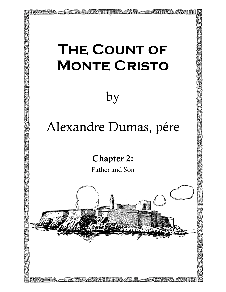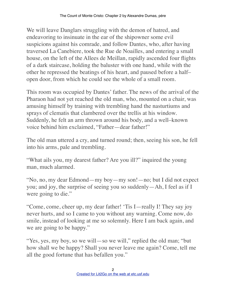We will leave Danglars struggling with the demon of hatred, and endeavoring to insinuate in the ear of the shipowner some evil suspicions against his comrade, and follow Dantes, who, after having traversed La Canebiere, took the Rue de Noailles, and entering a small house, on the left of the Allees de Meillan, rapidly ascended four flights of a dark staircase, holding the baluster with one hand, while with the other he repressed the beatings of his heart, and paused before a half– open door, from which he could see the whole of a small room.

This room was occupied by Dantes' father. The news of the arrival of the Pharaon had not yet reached the old man, who, mounted on a chair, was amusing himself by training with trembling hand the nasturtiums and sprays of clematis that clambered over the trellis at his window. Suddenly, he felt an arm thrown around his body, and a well–known voice behind him exclaimed, "Father—dear father!"

The old man uttered a cry, and turned round; then, seeing his son, he fell into his arms, pale and trembling.

"What ails you, my dearest father? Are you ill?" inquired the young man, much alarmed.

"No, no, my dear Edmond—my boy—my son!—no; but I did not expect you; and joy, the surprise of seeing you so suddenly—Ah, I feel as if I were going to die."

"Come, come, cheer up, my dear father! 'Tis I—really I! They say joy never hurts, and so I came to you without any warning. Come now, do smile, instead of looking at me so solemnly. Here I am back again, and we are going to be happy."

"Yes, yes, my boy, so we will—so we will," replied the old man; "but how shall we be happy? Shall you never leave me again? Come, tell me all the good fortune that has befallen you."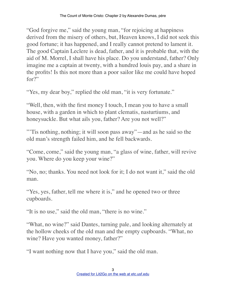"God forgive me," said the young man, "for rejoicing at happiness derived from the misery of others, but, Heaven knows, I did not seek this good fortune; it has happened, and I really cannot pretend to lament it. The good Captain Leclere is dead, father, and it is probable that, with the aid of M. Morrel, I shall have his place. Do you understand, father? Only imagine me a captain at twenty, with a hundred louis pay, and a share in the profits! Is this not more than a poor sailor like me could have hoped for?"

"Yes, my dear boy," replied the old man, "it is very fortunate."

"Well, then, with the first money I touch, I mean you to have a small house, with a garden in which to plant clematis, nasturtiums, and honeysuckle. But what ails you, father? Are you not well?"

"'Tis nothing, nothing; it will soon pass away"—and as he said so the old man's strength failed him, and he fell backwards.

"Come, come," said the young man, "a glass of wine, father, will revive you. Where do you keep your wine?"

"No, no; thanks. You need not look for it; I do not want it," said the old man.

"Yes, yes, father, tell me where it is," and he opened two or three cupboards.

"It is no use," said the old man, "there is no wine."

"What, no wine?" said Dantes, turning pale, and looking alternately at the hollow cheeks of the old man and the empty cupboards. "What, no wine? Have you wanted money, father?"

"I want nothing now that I have you," said the old man.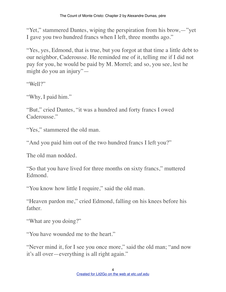"Yet," stammered Dantes, wiping the perspiration from his brow,—"yet I gave you two hundred francs when I left, three months ago."

"Yes, yes, Edmond, that is true, but you forgot at that time a little debt to our neighbor, Caderousse. He reminded me of it, telling me if I did not pay for you, he would be paid by M. Morrel; and so, you see, lest he might do you an injury"—

"Well?"

"Why, I paid him."

"But," cried Dantes, "it was a hundred and forty francs I owed Caderousse."

"Yes," stammered the old man.

"And you paid him out of the two hundred francs I left you?"

The old man nodded.

"So that you have lived for three months on sixty francs," muttered Edmond.

"You know how little I require," said the old man.

"Heaven pardon me," cried Edmond, falling on his knees before his father.

"What are you doing?"

"You have wounded me to the heart."

"Never mind it, for I see you once more," said the old man; "and now it's all over—everything is all right again."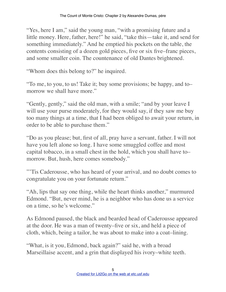"Yes, here I am," said the young man, "with a promising future and a little money. Here, father, here!" he said, "take this—take it, and send for something immediately." And he emptied his pockets on the table, the contents consisting of a dozen gold pieces, five or six five–franc pieces, and some smaller coin. The countenance of old Dantes brightened.

"Whom does this belong to?" he inquired.

"To me, to you, to us! Take it; buy some provisions; be happy, and to– morrow we shall have more."

"Gently, gently," said the old man, with a smile; "and by your leave I will use your purse moderately, for they would say, if they saw me buy too many things at a time, that I had been obliged to await your return, in order to be able to purchase them."

"Do as you please; but, first of all, pray have a servant, father. I will not have you left alone so long. I have some smuggled coffee and most capital tobacco, in a small chest in the hold, which you shall have to– morrow. But, hush, here comes somebody."

"'Tis Caderousse, who has heard of your arrival, and no doubt comes to congratulate you on your fortunate return."

"Ah, lips that say one thing, while the heart thinks another," murmured Edmond. "But, never mind, he is a neighbor who has done us a service on a time, so he's welcome."

As Edmond paused, the black and bearded head of Caderousse appeared at the door. He was a man of twenty–five or six, and held a piece of cloth, which, being a tailor, he was about to make into a coat–lining.

"What, is it you, Edmond, back again?" said he, with a broad Marseillaise accent, and a grin that displayed his ivory–white teeth.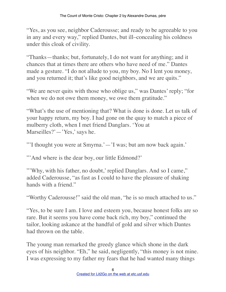"Yes, as you see, neighbor Caderousse; and ready to be agreeable to you in any and every way," replied Dantes, but ill–concealing his coldness under this cloak of civility.

"Thanks—thanks; but, fortunately, I do not want for anything; and it chances that at times there are others who have need of me." Dantes made a gesture. "I do not allude to you, my boy. No I lent you money, and you returned it; that's like good neighbors, and we are quits."

"We are never quits with those who oblige us," was Dantes' reply; "for when we do not owe them money, we owe them gratitude."

"What's the use of mentioning that? What is done is done. Let us talk of your happy return, my boy. I had gone on the quay to match a piece of mulberry cloth, when I met friend Danglars. 'You at Marseilles?'—'Yes,' says he.

"'I thought you were at Smyrna.'—'I was; but am now back again.'

"'And where is the dear boy, our little Edmond?'

"'Why, with his father, no doubt,' replied Danglars. And so I came," added Caderousse, "as fast as I could to have the pleasure of shaking hands with a friend."

"Worthy Caderousse!" said the old man, "he is so much attached to us."

"Yes, to be sure I am. I love and esteem you, because honest folks are so rare. But it seems you have come back rich, my boy," continued the tailor, looking askance at the handful of gold and silver which Dantes had thrown on the table.

The young man remarked the greedy glance which shone in the dark eyes of his neighbor. "Eh," he said, negligently, "this money is not mine. I was expressing to my father my fears that he had wanted many things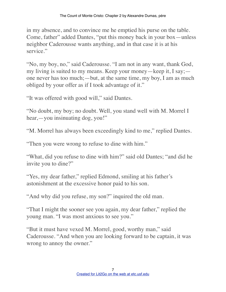in my absence, and to convince me he emptied his purse on the table. Come, father" added Dantes, "put this money back in your box—unless neighbor Caderousse wants anything, and in that case it is at his service."

"No, my boy, no," said Caderousse. "I am not in any want, thank God, my living is suited to my means. Keep your money—keep it, I say; one never has too much;—but, at the same time, my boy, I am as much obliged by your offer as if I took advantage of it."

"It was offered with good will," said Dantes.

"No doubt, my boy; no doubt. Well, you stand well with M. Morrel I hear,—you insinuating dog, you!"

"M. Morrel has always been exceedingly kind to me," replied Dantes.

"Then you were wrong to refuse to dine with him."

"What, did you refuse to dine with him?" said old Dantes; "and did he invite you to dine?"

"Yes, my dear father," replied Edmond, smiling at his father's astonishment at the excessive honor paid to his son.

"And why did you refuse, my son?" inquired the old man.

"That I might the sooner see you again, my dear father," replied the young man. "I was most anxious to see you."

"But it must have vexed M. Morrel, good, worthy man," said Caderousse. "And when you are looking forward to be captain, it was wrong to annoy the owner."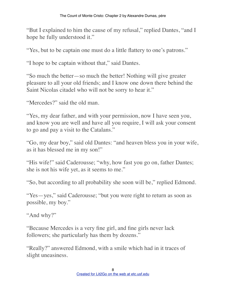"But I explained to him the cause of my refusal," replied Dantes, "and I hope he fully understood it."

"Yes, but to be captain one must do a little flattery to one's patrons."

"I hope to be captain without that," said Dantes.

"So much the better—so much the better! Nothing will give greater pleasure to all your old friends; and I know one down there behind the Saint Nicolas citadel who will not be sorry to hear it."

"Mercedes?" said the old man.

"Yes, my dear father, and with your permission, now I have seen you, and know you are well and have all you require, I will ask your consent to go and pay a visit to the Catalans."

"Go, my dear boy," said old Dantes: "and heaven bless you in your wife, as it has blessed me in my son!"

"His wife!" said Caderousse; "why, how fast you go on, father Dantes; she is not his wife yet, as it seems to me."

"So, but according to all probability she soon will be," replied Edmond.

"Yes—yes," said Caderousse; "but you were right to return as soon as possible, my boy."

"And why?"

"Because Mercedes is a very fine girl, and fine girls never lack followers; she particularly has them by dozens."

"Really?" answered Edmond, with a smile which had in it traces of slight uneasiness.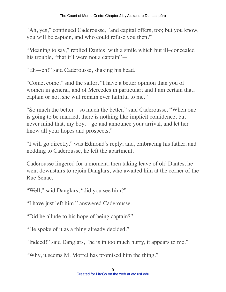"Ah, yes," continued Caderousse, "and capital offers, too; but you know, you will be captain, and who could refuse you then?"

"Meaning to say," replied Dantes, with a smile which but ill–concealed his trouble, "that if I were not a captain"—

"Eh—eh!" said Caderousse, shaking his head.

"Come, come," said the sailor, "I have a better opinion than you of women in general, and of Mercedes in particular; and I am certain that, captain or not, she will remain ever faithful to me."

"So much the better—so much the better," said Caderousse. "When one is going to be married, there is nothing like implicit confidence; but never mind that, my boy,—go and announce your arrival, and let her know all your hopes and prospects."

"I will go directly," was Edmond's reply; and, embracing his father, and nodding to Caderousse, he left the apartment.

Caderousse lingered for a moment, then taking leave of old Dantes, he went downstairs to rejoin Danglars, who awaited him at the corner of the Rue Senac.

"Well," said Danglars, "did you see him?"

"I have just left him," answered Caderousse.

"Did he allude to his hope of being captain?"

"He spoke of it as a thing already decided."

"Indeed!" said Danglars, "he is in too much hurry, it appears to me."

"Why, it seems M. Morrel has promised him the thing."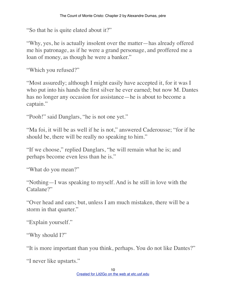"So that he is quite elated about it?"

"Why, yes, he is actually insolent over the matter—has already offered me his patronage, as if he were a grand personage, and proffered me a loan of money, as though he were a banker."

"Which you refused?"

"Most assuredly; although I might easily have accepted it, for it was I who put into his hands the first silver he ever earned; but now M. Dantes has no longer any occasion for assistance—he is about to become a captain."

"Pooh!" said Danglars, "he is not one yet."

"Ma foi, it will be as well if he is not," answered Caderousse; "for if he should be, there will be really no speaking to him."

"If we choose," replied Danglars, "he will remain what he is; and perhaps become even less than he is."

"What do you mean?"

"Nothing—I was speaking to myself. And is he still in love with the Catalane?"

"Over head and ears; but, unless I am much mistaken, there will be a storm in that quarter."

"Explain yourself."

"Why should I?"

"It is more important than you think, perhaps. You do not like Dantes?"

"I never like upstarts."